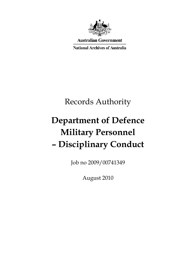

**Australian Government** 

**National Archives of Australia** 

# Records Authority

# **Department of Defence Military Personnel – Disciplinary Conduct**

Job no 2009/00741349

August 2010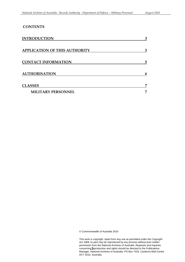### **CONTENTS**

| <b>INTRODUCTION</b>                  | 3  |
|--------------------------------------|----|
| <b>APPLICATION OF THIS AUTHORITY</b> | 3  |
| <b>CONTACT INFORMATION</b>           | 5  |
| <b>AUTHORISATION</b>                 | 6  |
| <b>CLASSES</b>                       | 7  |
| <b>MILITARY PERSONNEL</b>            | г. |

© Commonwealth of Australia 2010

This work is copyright. Apart from any use as permitted under the *Copyright Act 1968,* no part may be reproduced by any process without prior written permission from the National Archives of Australia. Requests and inquiries concerning Peproduction and rights should be directed to the Publications Manager, National Archives of Australia, PO Box 7425, Canberra Mail Centre ACT 2610, Australia.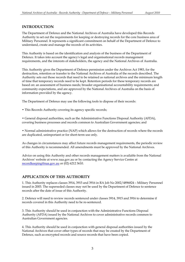#### <span id="page-2-0"></span>**INTRODUCTION**

The Department of Defence and the National Archives of Australia have developed this Records Authority to set out the requirements for keeping or destroying records for the core business area of Military Personnel. It represents a significant commitment on behalf of the Department of Defence to understand, create and manage the records of its activities.

This Authority is based on the identification and analysis of the business of the Department of Defence. It takes into account the agency's legal and organisational records management requirements, and the interests of stakeholders, the agency and the National Archives of Australia.

This Authority gives the Department of Defence permission under the Archives Act 1983, for the destruction, retention or transfer to the National Archives of Australia of the records described. The Authority sets out those records that need to be retained as national archives and the minimum length of time that temporary records need to be kept. Retention periods for these temporary records are based on: an assessment of business needs; broader organisational accountability requirements; and community expectations, and are approved by the National Archives of Australia on the basis of information provided by the agency.

The Department of Defence may use the following tools to dispose of their records:

• This Records Authority covering its agency specific records;

• General disposal authorities, such as the Administrative Functions Disposal Authority (AFDA), covering business processes and records common to Australian Government agencies; and

• Normal administrative practice (NAP) which allows for the destruction of records where the records are duplicated, unimportant or for short-term use only.

As changes in circumstances may affect future records management requirements, the periodic review of this Authority is recommended. All amendments must be approved by the National Archives.

Advice on using this Authority and other records management matters is available from the National Archives' website at www.naa.gov.au or by contacting the Agency Service Centre at recordkeeping@naa.gov.au or (02) 6212 3610.

#### **APPLICATION OF THIS AUTHORITY**

 1. This Authority replaces classes 3914, 3915 and 3916 in RA Job No 2002/4896824 – Military Personnel issued in 2003. The superseded classes may not be used by the Department of Defence to sentence records after the date of issue of this Authority.

2. Defence will need to review records sentenced under classes 3914, 3915 and 3916 to determine if records covered in this Authority need to be re-sentenced.

3. This Authority should be used in conjunction with the Administrative Functions Disposal Authority (AFDA) issued by the National Archives to cover administrative records common to Australian Government agencies.

4. This Authority should be used in conjunction with general disposal authorities issued by the National Archives that cover other types of records that may be created by the Department of Defence, such as encrypted records and source records that have been copied.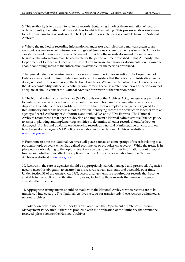5. This Authority is to be used to sentence records. Sentencing involves the examination of records in order to identify the individual disposal class to which they belong. This process enables sentencers to determine how long records need to be kept. Advice on sentencing is available from the National Archives.

6. Where the method of recording information changes (for example from a manual system to an electronic system, or when information is migrated from one system to a new system) this Authority can still be used to sentence the records created, providing the records document the same core business. The information must be accessible for the period of time prescribed in this Authority. The Department of Defence will need to ensure that any software, hardware or documentation required to enable continuing access to the information is available for the periods prescribed.

7. In general, retention requirements indicate a minimum period for retention. The Department of Defence may extend minimum retention periods if it considers that there is an administrative need to do so, without further reference to the National Archives. Where the Department of Defence believes that its accountability will be substantially compromised because a retention period or periods are not adequate, it should contact the National Archives for review of the retention period.

 destroyed. Advice and guidance on destroying records as a normal administrative practice and on how to develop an agency NAP policy is available from the National Archives' website at 8. The Normal Administrative Practice (NAP) provision of the Archives Act gives agencies permission to destroy certain records without formal authorisation. This usually occurs where records are duplicated, facilitative or for short-term use only. NAP does not replace arrangements agreed to in this Authority but can be used as a tool to assist in identifying records for destruction together with an agency's Record Authority or Authorities, and with AFDA and AFDA Express. The National Archives recommends that agencies develop and implement a Normal Administrative Practice policy to assist in planning and implementing activities to determine whether records should be kept or www.naa.gov.au

 place no records relating to the topic or event may be destroyed. Further information about disposal 9. From time to time the National Archives will place a freeze on some groups of records relating to a particular topic or event which has gained prominence or provokes controversy. While the freeze is in freezes and whether they affect the application of this Authority is available from the National Archives website at www.naa.gov.au

 custody after this time. 10. Records in the care of agencies should be appropriately stored, managed and preserved. Agencies need to meet this obligation to ensure that the records remain authentic and accessible over time. Under Section 31 of the *Archives Act 1983*, access arrangements are required for records that become available to the public currently after thirty years, including those records that remain in agency

11. Appropriate arrangements should be made with the National Archives when records are to be transferred into custody. The National Archives accepts for transfer only those records designated as national archives.

12. Advice on how to use this Authority is available from the Department of Defence – Records Management Policy unit. If there are problems with the application of the Authority that cannot be resolved, please contact the National Archives.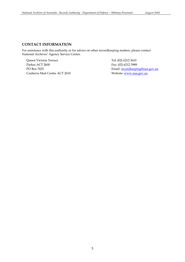#### **CONTACT INFORMATION**

For assistance with this authority or for advice on other recordkeeping matters, please contact National Archives' Agency Service Centre.

Queen Victoria Terrace Parkes ACT 2600 PO Box 7425 Canberra Mail Centre ACT 2610

 Fax: (02) 6212 3989 Tel: (02) 6212 3610 Email: recordkeeping@naa.gov.au Website: www.naa.gov.au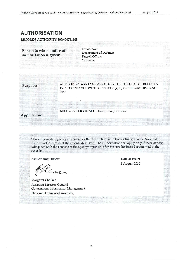### **AUTHORISATION**

**RECORDS AUTHORITY** 2009/00741349

**Person to whom notice of authorisation is given:** 

Dr Ian Watt Department of Defence Russell Offices **Canberra** 

**Purpose:** AUTHORISES ARRANGEMENTS FOR THE DISPOSAL OF RECORDS IN ACCORDANCE WITH SECTION 24(2)(b) OF THE ARCHIVES ACT 1983

**Application:** 

MILITARY PERSONNEL - Disciplinary Conduct

This authorisation gives permission for the destruction, retention or transfer to the National Archives of Australia of the records described. The authorisation will apply only if these actions take place with the consent of the agency responsible for the core business documented in the **records.** 

Authorising Officer

Margaret Chalker Assistant Director-General **Government Information Management**  National Archives of Australia

**Date of issue:**  9 August 2010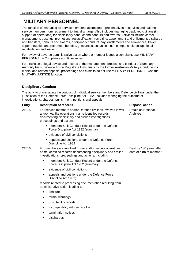# <span id="page-6-0"></span>**MILITARY PERSONNEL**

The function of managing all service members, accredited representatives, reservists and national service members from recruitment to final discharge. Also includes managing deployed civilians (in support of operations) for disciplinary conduct and honours and awards. Activities include career management, postings, promotions, reclassification, recruiting, appointment and enlistment, discharge and transfers, honours and awards, disciplinary conduct, pay, entitlements and allowances, travel, superannuation and retirement benefits, grievances, casualties, non compensable occupational rehabilitation and leave.

For review of adverse administrative action where a member lodges a complaint, use MILITARY PERSONNEL – Complaints and Grievances.

For provision of legal advice and records of the management, process and conduct of Summary Authority trials, Defence Force Magistrate trials, trials by the former Australian Military Court, courts martial and related appeals, proceedings and exhibits do not use MILITARY PERSONNEL. Use the MILITARY JUSTICE function

#### **Disciplinary Conduct**

The activity of managing the conduct of individual service members and Defence civilians under the jurisdiction of the Defence Force Discipline Act 1982. Includes managing the outcome of investigations, charges, punishment, petitions and appeals.

#### **Entry Description of records Disposal action Disposal action**

- 21015 For service members and/or Defence civilians involved in war Retain as National and/or warlike operations: name identified records entitled Archives documenting disciplinary and civilian investigations, proceedings and actions:
	- members' Unit Conduct Record under the Defence Force Discipline Act 1982 (summary)
	- evidence of civil convictions
	- appeals and petitions under the Defence Force Discipline Act 1982

#### 21016 For members not involved in war and/or warlike operations: Destroy 130 years after name identified records documenting disciplinary and civilian date of birth of member investigations, proceedings and actions, including

- members' Unit Conduct Record under the Defence Force Discipline Act 1982 (summary)
- • evidence of civil convictions
- appeals and petitions under the Defence Force Discipline Act 1982;

records related to processing documentation resulting from administrative action leading to;

- censure
- formal warnings
- unsuitability reports
- incompatibility with service life
- termination notices
- discharges;